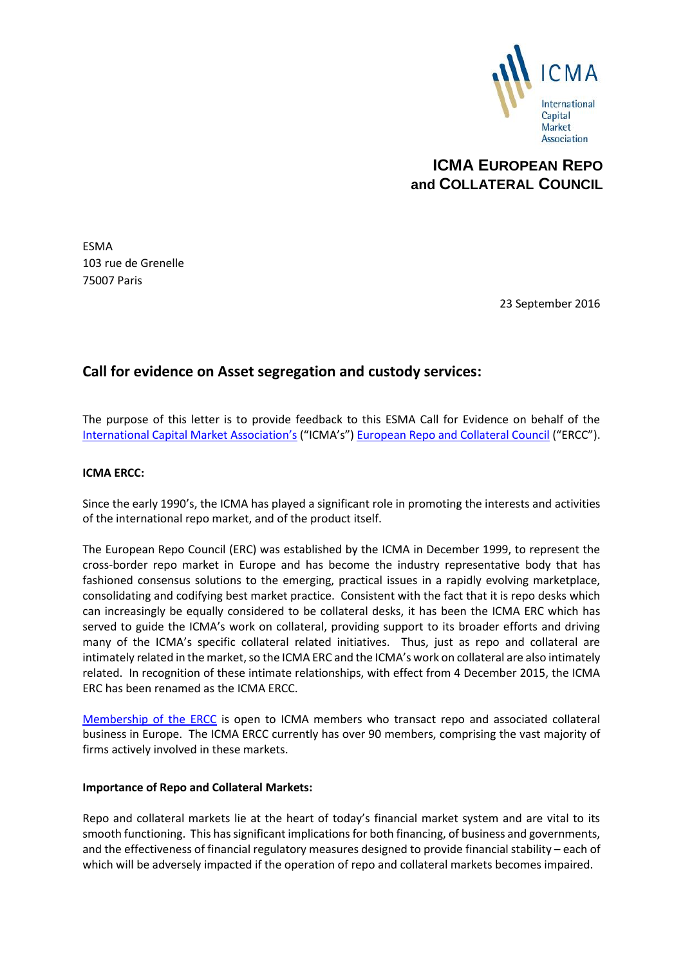

# **ICMA EUROPEAN REPO and COLLATERAL COUNCIL**

ESMA 103 rue de Grenelle 75007 Paris

23 September 2016

## **Call for evidence on Asset segregation and custody services:**

The purpose of this letter is to provide feedback to this ESMA Call for Evidence on behalf of the [International Capital Market Associatio](http://www.icmagroup.org/)n's ("ICMA's") [European Repo and Collateral Council](http://www.icmagroup.org/About-ICMA/icma-councils-and-committees/European-Repo-Council/) ("ERCC").

#### **ICMA ERCC:**

Since the early 1990's, the ICMA has played a significant role in promoting the interests and activities of the international repo market, and of the product itself.

The European Repo Council (ERC) was established by the ICMA in December 1999, to represent the cross-border repo market in Europe and has become the industry representative body that has fashioned consensus solutions to the emerging, practical issues in a rapidly evolving marketplace, consolidating and codifying best market practice. Consistent with the fact that it is repo desks which can increasingly be equally considered to be collateral desks, it has been the ICMA ERC which has served to guide the ICMA's work on collateral, providing support to its broader efforts and driving many of the ICMA's specific collateral related initiatives. Thus, just as repo and collateral are intimately related in the market, so the ICMA ERC and the ICMA's work on collateral are also intimately related. In recognition of these intimate relationships, with effect from 4 December 2015, the ICMA ERC has been renamed as the ICMA ERCC.

[Membership of the ERCC](http://www.icmagroup.org/About-ICMA/icma-councils-and-committees/European-Repo-Council/ERC-Members/) is open to ICMA members who transact repo and associated collateral business in Europe. The ICMA ERCC currently has over 90 members, comprising the vast majority of firms actively involved in these markets.

#### **Importance of Repo and Collateral Markets:**

Repo and collateral markets lie at the heart of today's financial market system and are vital to its smooth functioning. This has significant implications for both financing, of business and governments, and the effectiveness of financial regulatory measures designed to provide financial stability – each of which will be adversely impacted if the operation of repo and collateral markets becomes impaired.